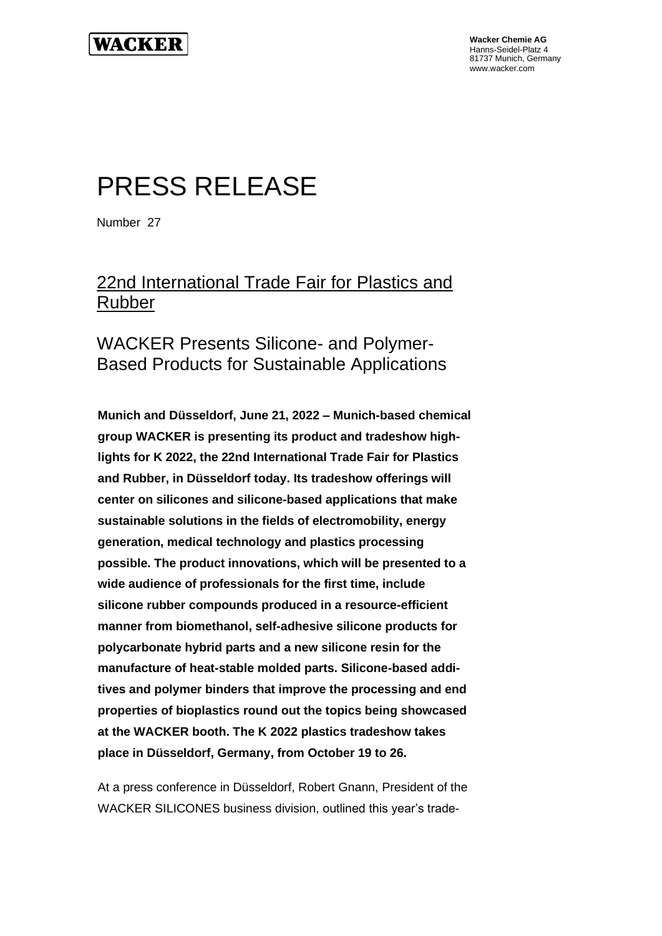

**Wacker Chemie AG** Hanns-Seidel-Platz 4 81737 Munich, Germany www.wacker.com

# PRESS RELEASE

Number 27

# 22nd International Trade Fair for Plastics and Rubber

#### WACKER Presents Silicone- and Polymer-Based Products for Sustainable Applications

**Munich and Düsseldorf, June 21, 2022 – Munich-based chemical group WACKER is presenting its product and tradeshow highlights for K 2022, the 22nd International Trade Fair for Plastics and Rubber, in Düsseldorf today. Its tradeshow offerings will center on silicones and silicone-based applications that make sustainable solutions in the fields of electromobility, energy generation, medical technology and plastics processing possible. The product innovations, which will be presented to a wide audience of professionals for the first time, include silicone rubber compounds produced in a resource-efficient manner from biomethanol, self-adhesive silicone products for polycarbonate hybrid parts and a new silicone resin for the manufacture of heat-stable molded parts. Silicone-based additives and polymer binders that improve the processing and end properties of bioplastics round out the topics being showcased at the WACKER booth. The K 2022 plastics tradeshow takes place in Düsseldorf, Germany, from October 19 to 26.** 

At a press conference in Düsseldorf, Robert Gnann, President of the WACKER SILICONES business division, outlined this year's trade-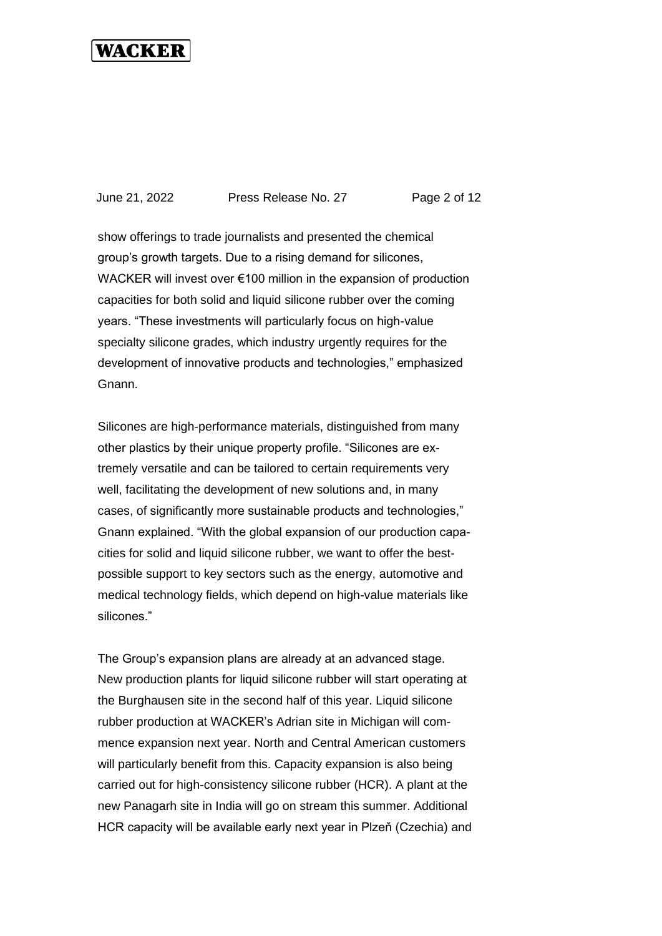June 21, 2022 Press Release No. 27 Page 2 of 12

show offerings to trade journalists and presented the chemical group's growth targets. Due to a rising demand for silicones, WACKER will invest over €100 million in the expansion of production capacities for both solid and liquid silicone rubber over the coming years. "These investments will particularly focus on high-value specialty silicone grades, which industry urgently requires for the development of innovative products and technologies," emphasized Gnann.

Silicones are high-performance materials, distinguished from many other plastics by their unique property profile. "Silicones are extremely versatile and can be tailored to certain requirements very well, facilitating the development of new solutions and, in many cases, of significantly more sustainable products and technologies," Gnann explained. "With the global expansion of our production capacities for solid and liquid silicone rubber, we want to offer the bestpossible support to key sectors such as the energy, automotive and medical technology fields, which depend on high-value materials like silicones."

The Group's expansion plans are already at an advanced stage. New production plants for liquid silicone rubber will start operating at the Burghausen site in the second half of this year. Liquid silicone rubber production at WACKER's Adrian site in Michigan will commence expansion next year. North and Central American customers will particularly benefit from this. Capacity expansion is also being carried out for high-consistency silicone rubber (HCR). A plant at the new Panagarh site in India will go on stream this summer. Additional HCR capacity will be available early next year in Plzeň (Czechia) and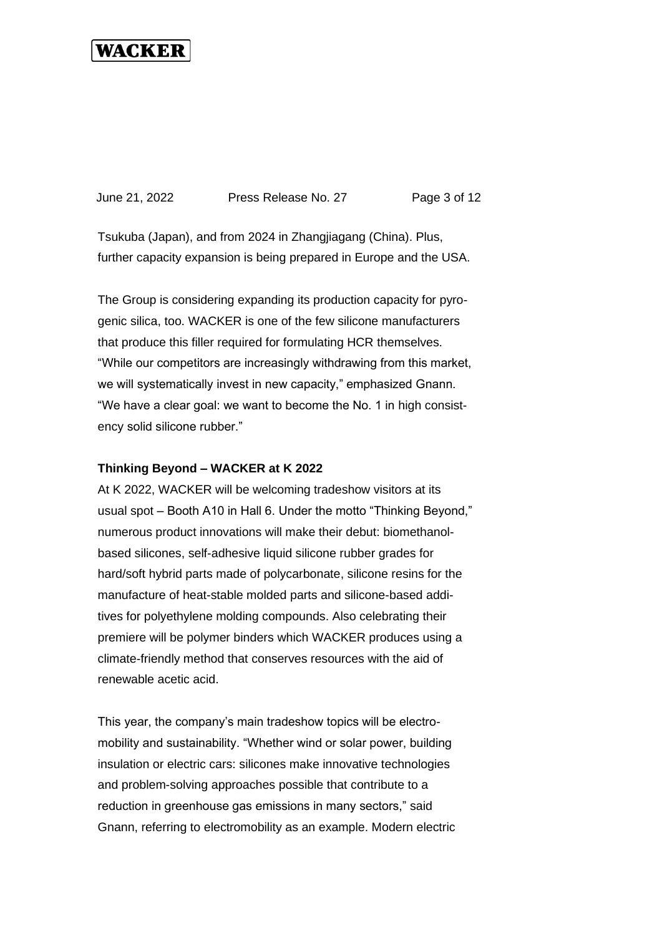June 21, 2022 Press Release No. 27 Page 3 of 12

Tsukuba (Japan), and from 2024 in Zhangjiagang (China). Plus, further capacity expansion is being prepared in Europe and the USA.

The Group is considering expanding its production capacity for pyrogenic silica, too. WACKER is one of the few silicone manufacturers that produce this filler required for formulating HCR themselves. "While our competitors are increasingly withdrawing from this market, we will systematically invest in new capacity," emphasized Gnann. "We have a clear goal: we want to become the No. 1 in high consistency solid silicone rubber."

#### **Thinking Beyond – WACKER at K 2022**

At K 2022, WACKER will be welcoming tradeshow visitors at its usual spot – Booth A10 in Hall 6. Under the motto "Thinking Beyond," numerous product innovations will make their debut: biomethanolbased silicones, self-adhesive liquid silicone rubber grades for hard/soft hybrid parts made of polycarbonate, silicone resins for the manufacture of heat-stable molded parts and silicone-based additives for polyethylene molding compounds. Also celebrating their premiere will be polymer binders which WACKER produces using a climate-friendly method that conserves resources with the aid of renewable acetic acid.

This year, the company's main tradeshow topics will be electromobility and sustainability. "Whether wind or solar power, building insulation or electric cars: silicones make innovative technologies and problem-solving approaches possible that contribute to a reduction in greenhouse gas emissions in many sectors," said Gnann, referring to electromobility as an example. Modern electric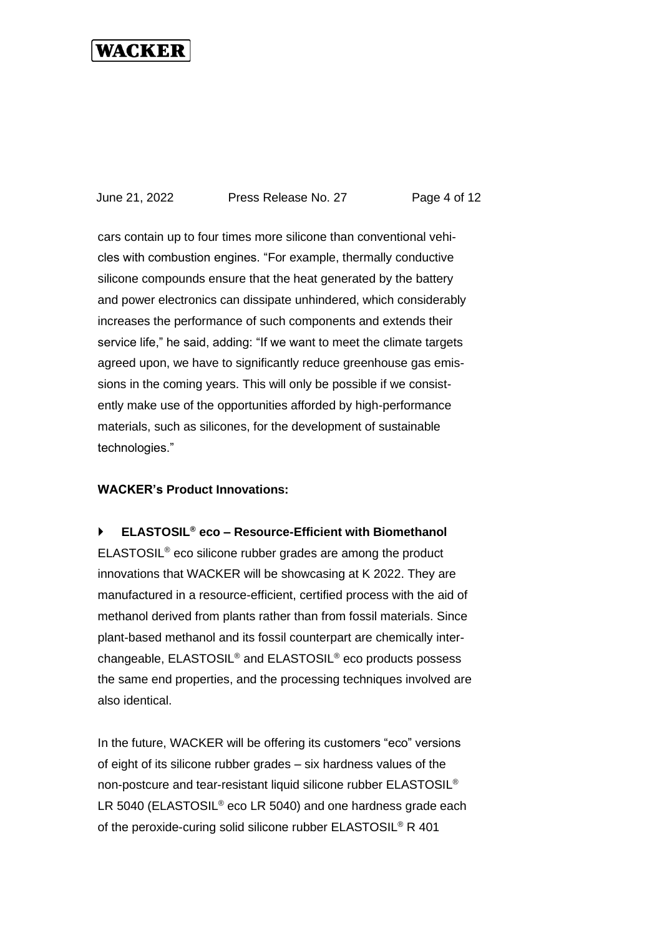June 21, 2022 Press Release No. 27 Page 4 of 12

cars contain up to four times more silicone than conventional vehicles with combustion engines. "For example, thermally conductive silicone compounds ensure that the heat generated by the battery and power electronics can dissipate unhindered, which considerably increases the performance of such components and extends their service life," he said, adding: "If we want to meet the climate targets agreed upon, we have to significantly reduce greenhouse gas emissions in the coming years. This will only be possible if we consistently make use of the opportunities afforded by high-performance materials, such as silicones, for the development of sustainable technologies."

#### **WACKER's Product Innovations:**

**ELASTOSIL® eco – Resource-Efficient with Biomethanol**

ELASTOSIL® eco silicone rubber grades are among the product innovations that WACKER will be showcasing at K 2022. They are manufactured in a resource-efficient, certified process with the aid of methanol derived from plants rather than from fossil materials. Since plant-based methanol and its fossil counterpart are chemically interchangeable, ELASTOSIL® and ELASTOSIL® eco products possess the same end properties, and the processing techniques involved are also identical.

In the future, WACKER will be offering its customers "eco" versions of eight of its silicone rubber grades – six hardness values of the non-postcure and tear-resistant liquid silicone rubber ELASTOSIL® LR 5040 (ELASTOSIL<sup>®</sup> eco LR 5040) and one hardness grade each of the peroxide-curing solid silicone rubber ELASTOSIL® R 401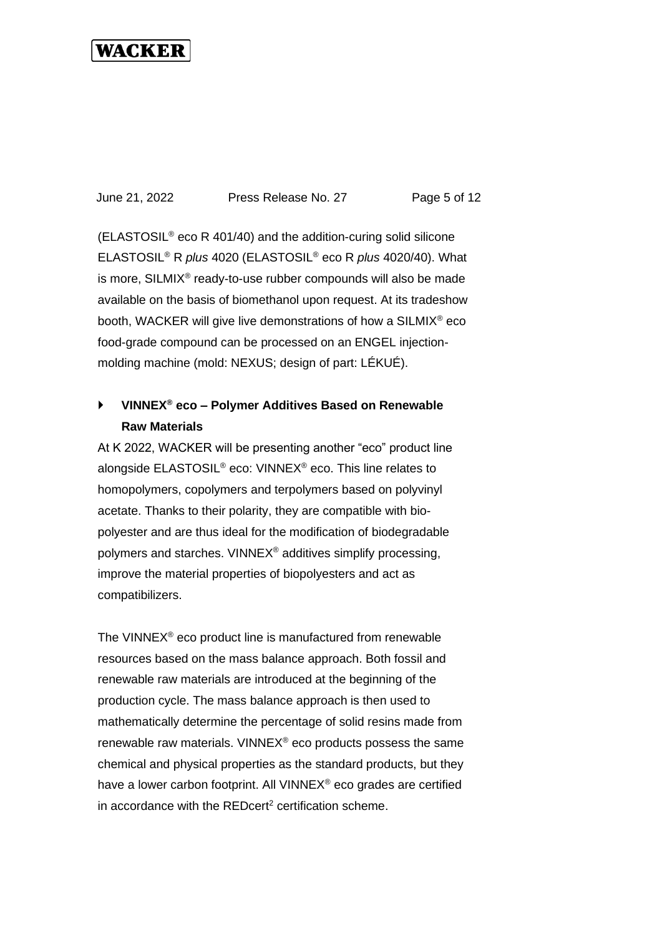June 21, 2022 Press Release No. 27 Page 5 of 12

(ELASTOSIL® eco R 401/40) and the addition-curing solid silicone ELASTOSIL® R *plus* 4020 (ELASTOSIL® eco R *plus* 4020/40). What is more, SILMIX<sup>®</sup> ready-to-use rubber compounds will also be made available on the basis of biomethanol upon request. At its tradeshow booth, WACKER will give live demonstrations of how a SILMIX® eco food-grade compound can be processed on an ENGEL injectionmolding machine (mold: NEXUS; design of part: LÉKUÉ).

#### **VINNEX® eco – Polymer Additives Based on Renewable Raw Materials**

At K 2022, WACKER will be presenting another "eco" product line alongside ELASTOSIL® eco: VINNEX® eco. This line relates to homopolymers, copolymers and terpolymers based on polyvinyl acetate. Thanks to their polarity, they are compatible with biopolyester and are thus ideal for the modification of biodegradable polymers and starches. VINNEX® additives simplify processing, improve the material properties of biopolyesters and act as compatibilizers.

The VINNEX® eco product line is manufactured from renewable resources based on the mass balance approach. Both fossil and renewable raw materials are introduced at the beginning of the production cycle. The mass balance approach is then used to mathematically determine the percentage of solid resins made from renewable raw materials. VINNEX® eco products possess the same chemical and physical properties as the standard products, but they have a lower carbon footprint. All VINNEX<sup>®</sup> eco grades are certified in accordance with the REDcert<sup>2</sup> certification scheme.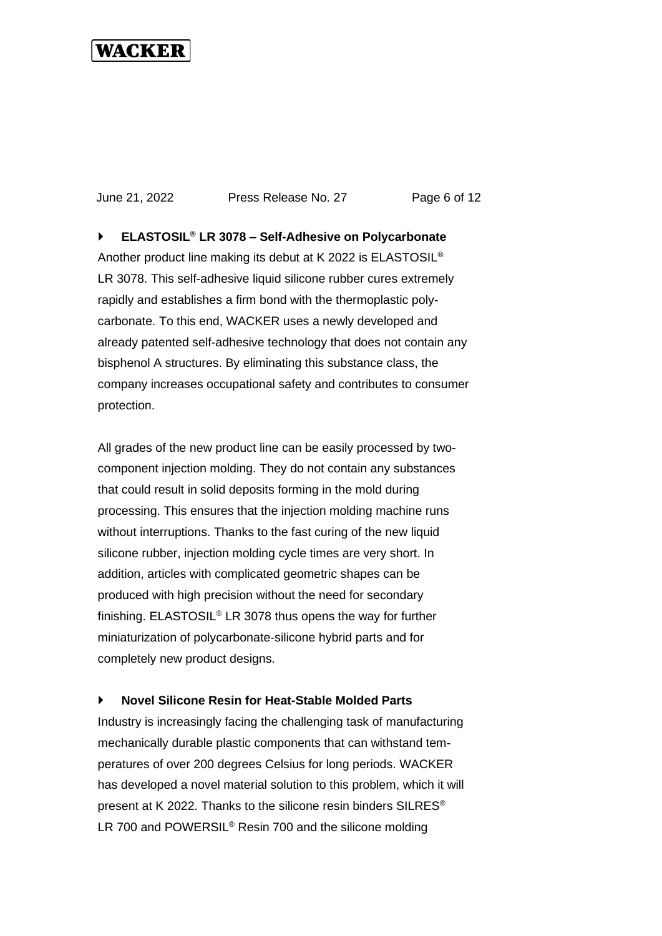June 21, 2022 Press Release No. 27 Page 6 of 12

 **ELASTOSIL® LR 3078 – Self-Adhesive on Polycarbonate**  Another product line making its debut at K 2022 is ELASTOSIL® LR 3078. This self-adhesive liquid silicone rubber cures extremely rapidly and establishes a firm bond with the thermoplastic polycarbonate. To this end, WACKER uses a newly developed and already patented self-adhesive technology that does not contain any bisphenol A structures. By eliminating this substance class, the company increases occupational safety and contributes to consumer protection.

All grades of the new product line can be easily processed by twocomponent injection molding. They do not contain any substances that could result in solid deposits forming in the mold during processing. This ensures that the injection molding machine runs without interruptions. Thanks to the fast curing of the new liquid silicone rubber, injection molding cycle times are very short. In addition, articles with complicated geometric shapes can be produced with high precision without the need for secondary finishing. ELASTOSIL® LR 3078 thus opens the way for further miniaturization of polycarbonate-silicone hybrid parts and for completely new product designs.

#### **Novel Silicone Resin for Heat-Stable Molded Parts**

Industry is increasingly facing the challenging task of manufacturing mechanically durable plastic components that can withstand temperatures of over 200 degrees Celsius for long periods. WACKER has developed a novel material solution to this problem, which it will present at K 2022. Thanks to the silicone resin binders SILRES® LR 700 and POWERSIL<sup>®</sup> Resin 700 and the silicone molding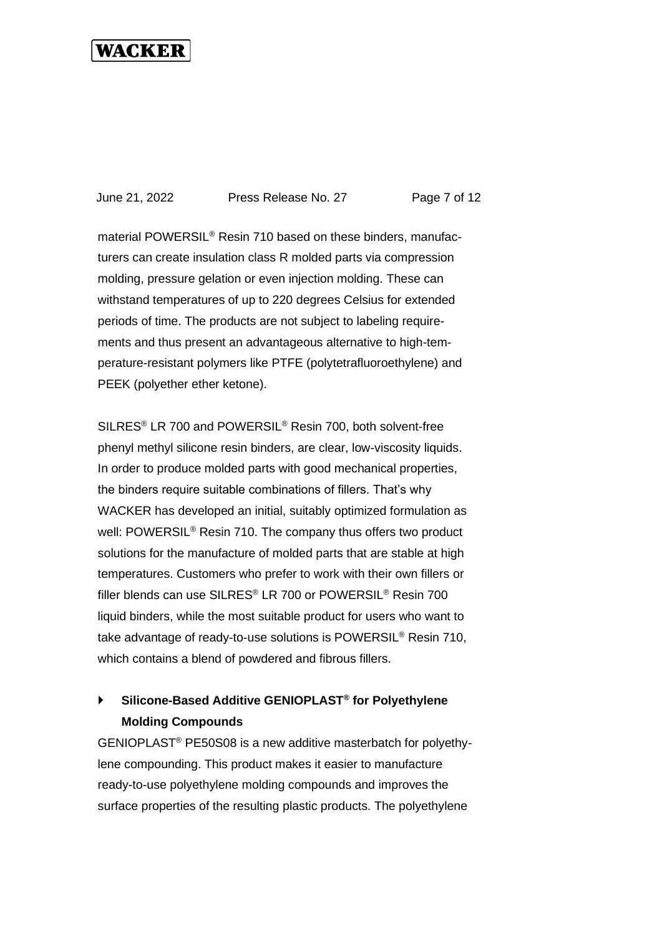June 21, 2022 Press Release No. 27 Page 7 of 12

material POWERSIL® Resin 710 based on these binders, manufacturers can create insulation class R molded parts via compression molding, pressure gelation or even injection molding. These can withstand temperatures of up to 220 degrees Celsius for extended periods of time. The products are not subject to labeling requirements and thus present an advantageous alternative to high-temperature-resistant polymers like PTFE (polytetrafluoroethylene) and PEEK (polyether ether ketone).

SILRES® LR 700 and POWERSIL® Resin 700, both solvent-free phenyl methyl silicone resin binders, are clear, low-viscosity liquids. In order to produce molded parts with good mechanical properties, the binders require suitable combinations of fillers. That's why WACKER has developed an initial, suitably optimized formulation as well: POWERSIL<sup>®</sup> Resin 710. The company thus offers two product solutions for the manufacture of molded parts that are stable at high temperatures. Customers who prefer to work with their own fillers or filler blends can use SILRES® LR 700 or POWERSIL® Resin 700 liquid binders, while the most suitable product for users who want to take advantage of ready-to-use solutions is POWERSIL® Resin 710, which contains a blend of powdered and fibrous fillers.

#### **Silicone-Based Additive GENIOPLAST® for Polyethylene Molding Compounds**

GENIOPLAST® PE50S08 is a new additive masterbatch for polyethylene compounding. This product makes it easier to manufacture ready-to-use polyethylene molding compounds and improves the surface properties of the resulting plastic products. The polyethylene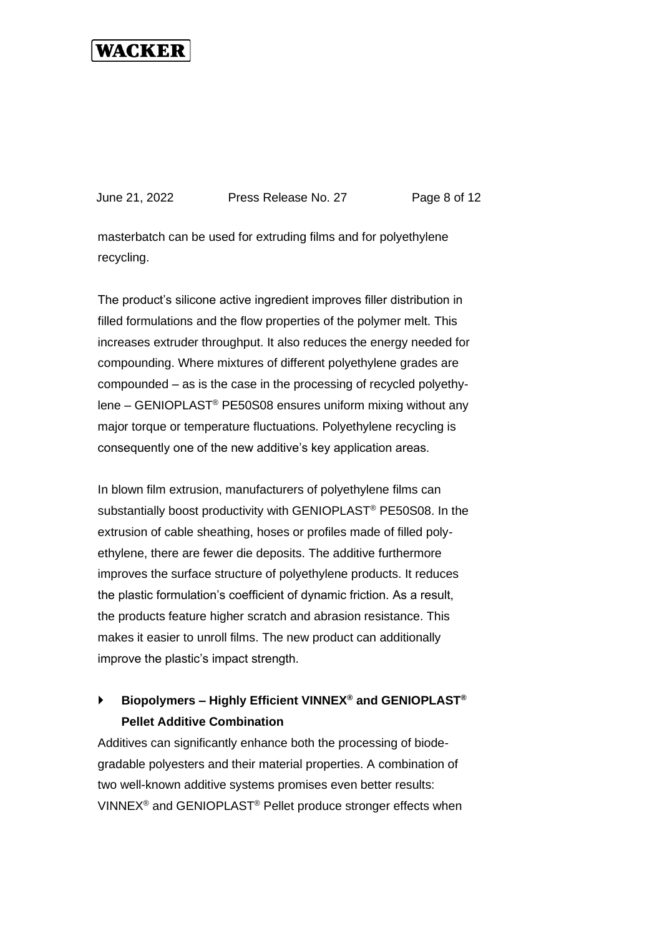June 21, 2022 Press Release No. 27 Page 8 of 12

masterbatch can be used for extruding films and for polyethylene recycling.

The product's silicone active ingredient improves filler distribution in filled formulations and the flow properties of the polymer melt. This increases extruder throughput. It also reduces the energy needed for compounding. Where mixtures of different polyethylene grades are compounded – as is the case in the processing of recycled polyethylene – GENIOPLAST® PE50S08 ensures uniform mixing without any major torque or temperature fluctuations. Polyethylene recycling is consequently one of the new additive's key application areas.

In blown film extrusion, manufacturers of polyethylene films can substantially boost productivity with GENIOPLAST® PE50S08. In the extrusion of cable sheathing, hoses or profiles made of filled polyethylene, there are fewer die deposits. The additive furthermore improves the surface structure of polyethylene products. It reduces the plastic formulation's coefficient of dynamic friction. As a result, the products feature higher scratch and abrasion resistance. This makes it easier to unroll films. The new product can additionally improve the plastic's impact strength.

#### **Biopolymers – Highly Efficient VINNEX® and GENIOPLAST® Pellet Additive Combination**

Additives can significantly enhance both the processing of biodegradable polyesters and their material properties. A combination of two well-known additive systems promises even better results: VINNEX® and GENIOPLAST® Pellet produce stronger effects when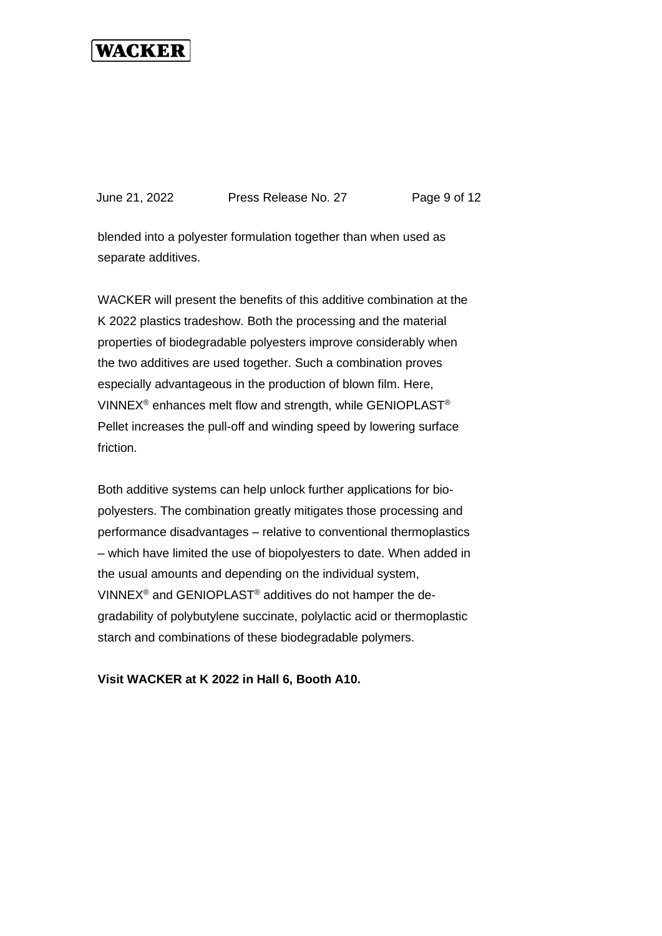June 21, 2022 Press Release No. 27 Page 9 of 12

blended into a polyester formulation together than when used as separate additives.

WACKER will present the benefits of this additive combination at the K 2022 plastics tradeshow. Both the processing and the material properties of biodegradable polyesters improve considerably when the two additives are used together. Such a combination proves especially advantageous in the production of blown film. Here, VINNEX® enhances melt flow and strength, while GENIOPLAST® Pellet increases the pull-off and winding speed by lowering surface friction.

Both additive systems can help unlock further applications for biopolyesters. The combination greatly mitigates those processing and performance disadvantages – relative to conventional thermoplastics – which have limited the use of biopolyesters to date. When added in the usual amounts and depending on the individual system, VINNEX® and GENIOPLAST® additives do not hamper the degradability of polybutylene succinate, polylactic acid or thermoplastic starch and combinations of these biodegradable polymers.

**Visit WACKER at K 2022 in Hall 6, Booth A10.**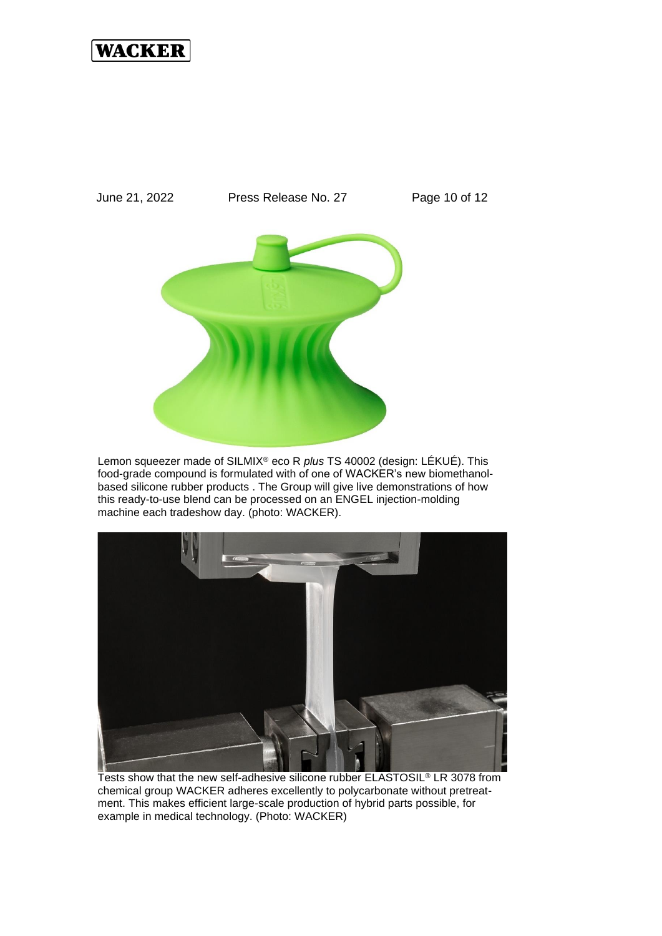

Lemon squeezer made of SILMIX® eco R *plus* TS 40002 (design: LÉKUÉ). This food-grade compound is formulated with of one of WACKER's new biomethanolbased silicone rubber products . The Group will give live demonstrations of how this ready-to-use blend can be processed on an ENGEL injection-molding machine each tradeshow day. (photo: WACKER).



Tests show that the new self-adhesive silicone rubber ELASTOSIL® LR 3078 from chemical group WACKER adheres excellently to polycarbonate without pretreatment. This makes efficient large-scale production of hybrid parts possible, for example in medical technology. (Photo: WACKER)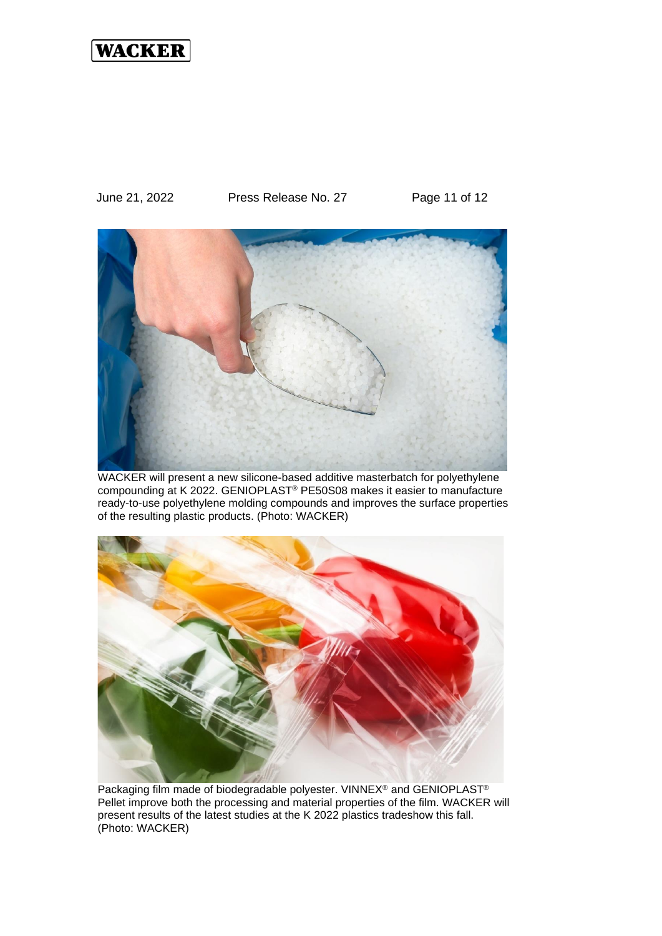June 21, 2022 Press Release No. 27 Page 11 of 12



WACKER will present a new silicone-based additive masterbatch for polyethylene compounding at K 2022. GENIOPLAST® PE50S08 makes it easier to manufacture ready-to-use polyethylene molding compounds and improves the surface properties of the resulting plastic products. (Photo: WACKER)



Packaging film made of biodegradable polyester. VINNEX® and GENIOPLAST® Pellet improve both the processing and material properties of the film. WACKER will present results of the latest studies at the K 2022 plastics tradeshow this fall. (Photo: WACKER)